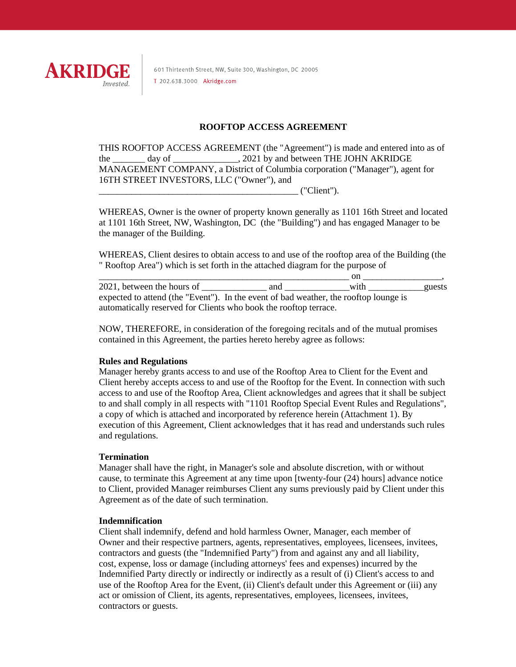

601 Thirteenth Street, NW, Suite 300, Washington, DC 20005 T 202.638.3000 Akridge.com

## **ROOFTOP ACCESS AGREEMENT**

THIS ROOFTOP ACCESS AGREEMENT (the "Agreement") is made and entered into as of the day of  $\qquad \qquad$  . 2021 by and between THE JOHN AKRIDGE MANAGEMENT COMPANY, a District of Columbia corporation ("Manager"), agent for 16TH STREET INVESTORS, LLC ("Owner"), and  $('Client")$ .

WHEREAS, Owner is the owner of property known generally as 1101 16th Street and located at 1101 16th Street, NW, Washington, DC (the "Building") and has engaged Manager to be the manager of the Building.

WHEREAS, Client desires to obtain access to and use of the rooftop area of the Building (the " Rooftop Area") which is set forth in the attached diagram for the purpose of

\_\_\_\_\_\_\_\_\_\_\_\_\_\_\_\_\_\_\_\_\_\_\_\_\_\_\_\_\_\_\_\_\_\_\_\_\_\_\_\_\_\_\_\_\_\_\_\_\_\_\_\_\_\_ on \_\_\_\_\_\_\_\_\_\_\_\_\_\_\_\_\_, 2021, between the hours of and  $\alpha$  with the guests expected to attend (the "Event"). In the event of bad weather, the rooftop lounge is automatically reserved for Clients who book the rooftop terrace.

NOW, THEREFORE, in consideration of the foregoing recitals and of the mutual promises contained in this Agreement, the parties hereto hereby agree as follows:

#### **Rules and Regulations**

Manager hereby grants access to and use of the Rooftop Area to Client for the Event and Client hereby accepts access to and use of the Rooftop for the Event. In connection with such access to and use of the Rooftop Area, Client acknowledges and agrees that it shall be subject to and shall comply in all respects with "1101 Rooftop Special Event Rules and Regulations", a copy of which is attached and incorporated by reference herein (Attachment 1). By execution of this Agreement, Client acknowledges that it has read and understands such rules and regulations.

#### **Termination**

Manager shall have the right, in Manager's sole and absolute discretion, with or without cause, to terminate this Agreement at any time upon [twenty-four (24) hours] advance notice to Client, provided Manager reimburses Client any sums previously paid by Client under this Agreement as of the date of such termination.

#### **Indemnification**

Client shall indemnify, defend and hold harmless Owner, Manager, each member of Owner and their respective partners, agents, representatives, employees, licensees, invitees, contractors and guests (the "Indemnified Party") from and against any and all liability, cost, expense, loss or damage (including attorneys' fees and expenses) incurred by the Indemnified Party directly or indirectly or indirectly as a result of (i) Client's access to and use of the Rooftop Area for the Event, (ii) Client's default under this Agreement or (iii) any act or omission of Client, its agents, representatives, employees, licensees, invitees, contractors or guests.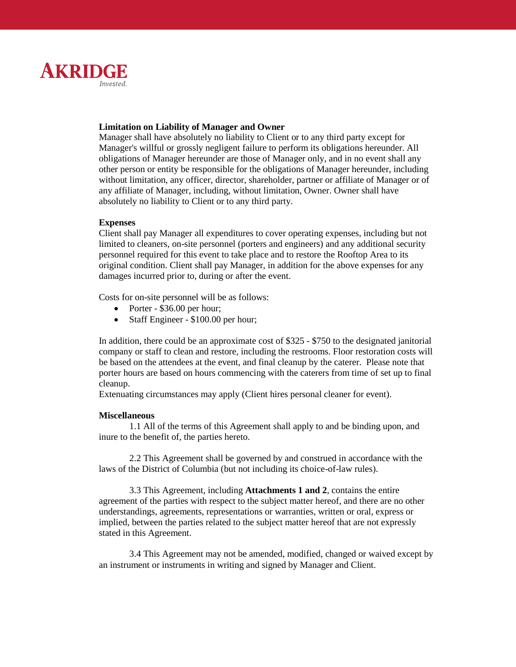

## **Limitation on Liability of Manager and Owner**

Manager shall have absolutely no liability to Client or to any third party except for Manager's willful or grossly negligent failure to perform its obligations hereunder. All obligations of Manager hereunder are those of Manager only, and in no event shall any other person or entity be responsible for the obligations of Manager hereunder, including without limitation, any officer, director, shareholder, partner or affiliate of Manager or of any affiliate of Manager, including, without limitation, Owner. Owner shall have absolutely no liability to Client or to any third party.

## **Expenses**

Client shall pay Manager all expenditures to cover operating expenses, including but not limited to cleaners, on-site personnel (porters and engineers) and any additional security personnel required for this event to take place and to restore the Rooftop Area to its original condition. Client shall pay Manager, in addition for the above expenses for any damages incurred prior to, during or after the event.

Costs for on-site personnel will be as follows:

- Porter \$36.00 per hour;
- Staff Engineer \$100.00 per hour;

In addition, there could be an approximate cost of \$325 - \$750 to the designated janitorial company or staff to clean and restore, including the restrooms. Floor restoration costs will be based on the attendees at the event, and final cleanup by the caterer. Please note that porter hours are based on hours commencing with the caterers from time of set up to final cleanup.

Extenuating circumstances may apply (Client hires personal cleaner for event).

#### **Miscellaneous**

1.1 All of the terms of this Agreement shall apply to and be binding upon, and inure to the benefit of, the parties hereto.

2.2 This Agreement shall be governed by and construed in accordance with the laws of the District of Columbia (but not including its choice-of-law rules).

3.3 This Agreement, including **Attachments 1 and 2**, contains the entire agreement of the parties with respect to the subject matter hereof, and there are no other understandings, agreements, representations or warranties, written or oral, express or implied, between the parties related to the subject matter hereof that are not expressly stated in this Agreement.

3.4 This Agreement may not be amended, modified, changed or waived except by an instrument or instruments in writing and signed by Manager and Client.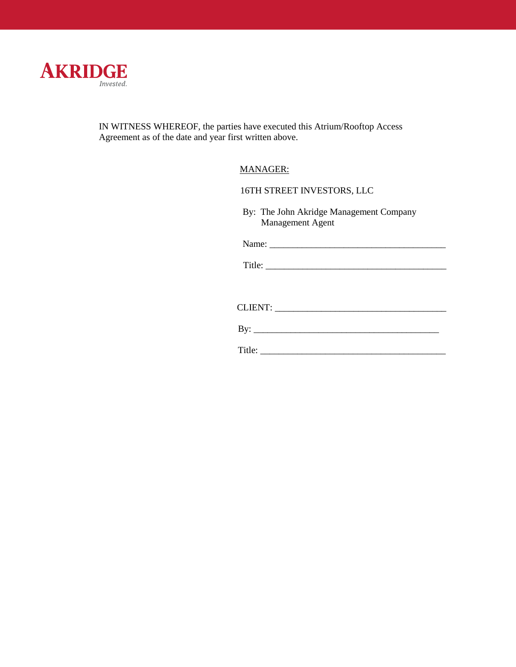

IN WITNESS WHEREOF, the parties have executed this Atrium/Rooftop Access Agreement as of the date and year first written above.

# MANAGER:

## 16TH STREET INVESTORS, LLC

 By: The John Akridge Management Company Management Agent

Name: \_\_\_\_\_\_\_\_\_\_\_\_\_\_\_\_\_\_\_\_\_\_\_\_\_\_\_\_\_\_\_\_\_\_\_\_\_\_

Title: \_\_\_\_\_\_\_\_\_\_\_\_\_\_\_\_\_\_\_\_\_\_\_\_\_\_\_\_\_\_\_\_\_\_\_\_\_\_\_

CLIENT: \_\_\_\_\_\_\_\_\_\_\_\_\_\_\_\_\_\_\_\_\_\_\_\_\_\_\_\_\_\_\_\_\_\_\_\_\_

By: \_\_\_\_\_\_\_\_\_\_\_\_\_\_\_\_\_\_\_\_\_\_\_\_\_\_\_\_\_\_\_\_\_\_\_\_\_\_\_\_

Title: \_\_\_\_\_\_\_\_\_\_\_\_\_\_\_\_\_\_\_\_\_\_\_\_\_\_\_\_\_\_\_\_\_\_\_\_\_\_\_\_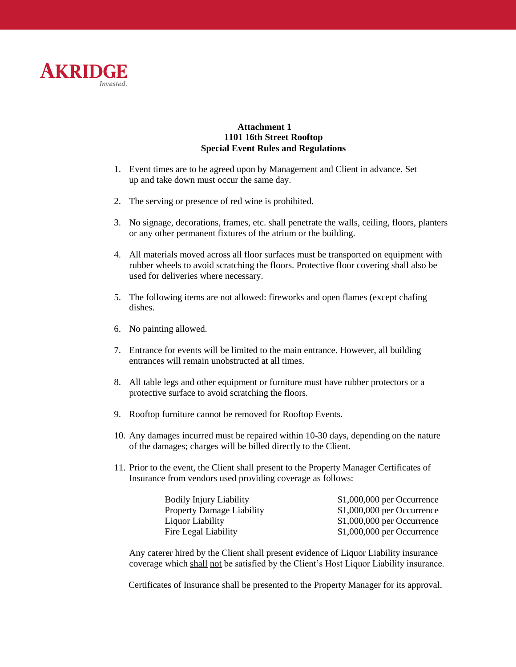

## **Attachment 1 1101 16th Street Rooftop Special Event Rules and Regulations**

- 1. Event times are to be agreed upon by Management and Client in advance. Set up and take down must occur the same day.
- 2. The serving or presence of red wine is prohibited.
- 3. No signage, decorations, frames, etc. shall penetrate the walls, ceiling, floors, planters or any other permanent fixtures of the atrium or the building.
- 4. All materials moved across all floor surfaces must be transported on equipment with rubber wheels to avoid scratching the floors. Protective floor covering shall also be used for deliveries where necessary.
- 5. The following items are not allowed: fireworks and open flames (except chafing dishes.
- 6. No painting allowed.
- 7. Entrance for events will be limited to the main entrance. However, all building entrances will remain unobstructed at all times.
- 8. All table legs and other equipment or furniture must have rubber protectors or a protective surface to avoid scratching the floors.
- 9. Rooftop furniture cannot be removed for Rooftop Events.
- 10. Any damages incurred must be repaired within 10-30 days, depending on the nature of the damages; charges will be billed directly to the Client.
- 11. Prior to the event, the Client shall present to the Property Manager Certificates of Insurance from vendors used providing coverage as follows:

| Bodily Injury Liability   | $$1,000,000$ per Occurrence |
|---------------------------|-----------------------------|
| Property Damage Liability | $$1,000,000$ per Occurrence |
| Liquor Liability          | $$1,000,000$ per Occurrence |
| Fire Legal Liability      | $$1,000,000$ per Occurrence |

Any caterer hired by the Client shall present evidence of Liquor Liability insurance coverage which shall not be satisfied by the Client's Host Liquor Liability insurance.

Certificates of Insurance shall be presented to the Property Manager for its approval.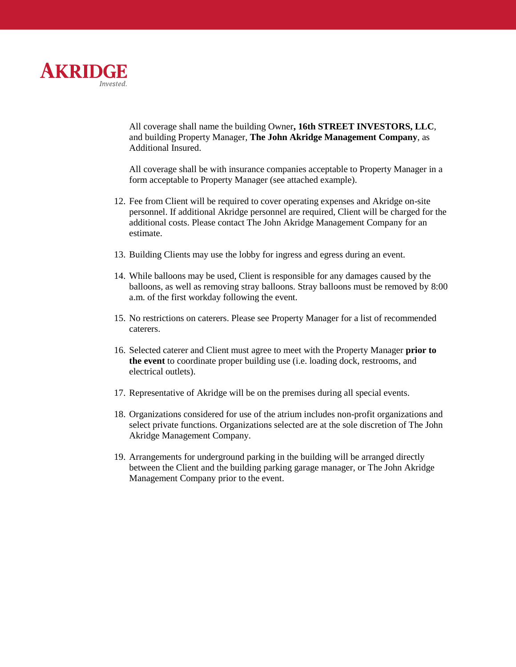

All coverage shall name the building Owner**, 16th STREET INVESTORS, LLC**, and building Property Manager, **The John Akridge Management Company**, as Additional Insured.

All coverage shall be with insurance companies acceptable to Property Manager in a form acceptable to Property Manager (see attached example).

- 12. Fee from Client will be required to cover operating expenses and Akridge on-site personnel. If additional Akridge personnel are required, Client will be charged for the additional costs. Please contact The John Akridge Management Company for an estimate.
- 13. Building Clients may use the lobby for ingress and egress during an event.
- 14. While balloons may be used, Client is responsible for any damages caused by the balloons, as well as removing stray balloons. Stray balloons must be removed by 8:00 a.m. of the first workday following the event.
- 15. No restrictions on caterers. Please see Property Manager for a list of recommended caterers.
- 16. Selected caterer and Client must agree to meet with the Property Manager **prior to the event** to coordinate proper building use (i.e. loading dock, restrooms, and electrical outlets).
- 17. Representative of Akridge will be on the premises during all special events.
- 18. Organizations considered for use of the atrium includes non-profit organizations and select private functions. Organizations selected are at the sole discretion of The John Akridge Management Company.
- 19. Arrangements for underground parking in the building will be arranged directly between the Client and the building parking garage manager, or The John Akridge Management Company prior to the event.